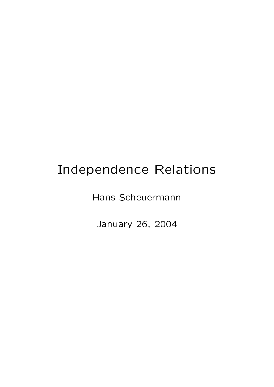## Independence Relations

Hans Scheuermann

January 26, 2004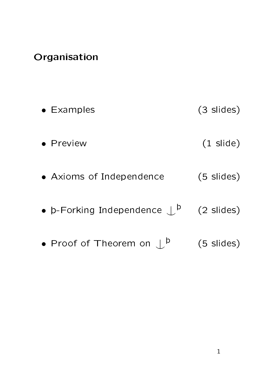## Organisation

| $\bullet$ Examples                               | (3 slides)          |
|--------------------------------------------------|---------------------|
| • Preview                                        | $(1 \text{ slide})$ |
| • Axioms of Independence                         | $(5 \; s$ lides)    |
| • $b$ -Forking Independence $\Box$ <sup>p</sup>  | $(2 \; slides)$     |
| • Proof of Theorem on $\mathcal{L}^{\mathsf{p}}$ | $(5 \; slides)$     |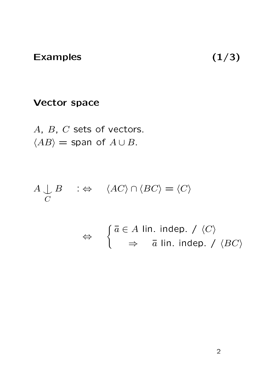## Examples  $(1/3)$

## Vector space

A, B, C sets of vectors.  $\langle AB \rangle$  = span of  $A \cup B$ .

$$
A \underset{C}{\downarrow} B \quad : \Leftrightarrow \quad \langle AC \rangle \cap \langle BC \rangle = \langle C \rangle
$$

$$
\Leftrightarrow \quad \begin{cases} \bar{a} \in A \text{ lin. indep.} / \langle C \rangle \\ \Rightarrow \bar{a} \text{ lin. indep.} / \langle BC \rangle \end{cases}
$$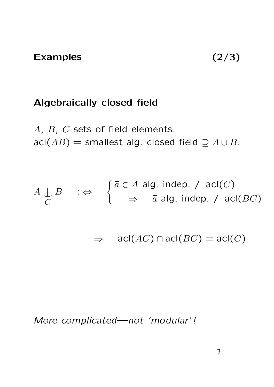### Algebraically closed field

 $A$ ,  $B$ ,  $C$  sets of field elements. acl( $AB$ ) = smallest alg. closed field  $\supseteq A \cup B$ .

$$
A \cup_{C} B : \Leftrightarrow \begin{cases} \bar{a} \in A \text{ alg. indep.} / \text{acl}(C) \\ \Rightarrow \bar{a} \text{ alg. indep.} / \text{acl}(BC) \end{cases}
$$

 $\Rightarrow$  acl(AC) ∩ acl(BC) = acl(C)

More complicatednot `modular' !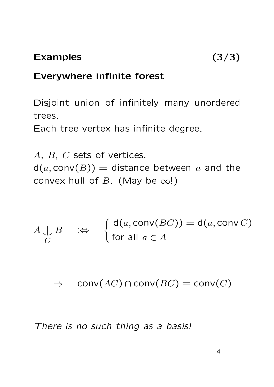## Everywhere infinite forest

Disjoint union of infinitely many unordered trees.

Each tree vertex has infinite degree.

A, B, C sets of vertices.  $d(a, conv(B)) =$  distance between a and the convex hull of B. (May be  $\infty$ !)

$$
A \bigcup_C B \quad \Leftrightarrow \quad \begin{cases} d(a, \text{conv}(BC)) = d(a, \text{conv}(C)) \\ \text{for all } a \in A \end{cases}
$$

 $\Rightarrow$  conv(AC) ∩ conv(BC) = conv(C)

There is no such thing as a basis!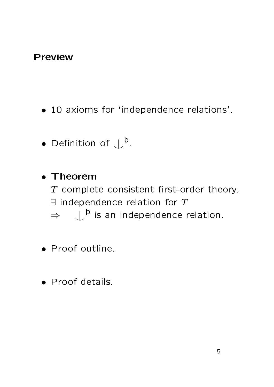## Preview

- 10 axioms for 'independence relations'.
- Definition of  $\downarrow^{\flat}$ .

• Theorem  $T$  complete consistent first-order theory.  $\exists$  independence relation for  $T$  $\Rightarrow$   $\perp^{\flat}$  is an independence relation.

- Proof outline.
- Proof details.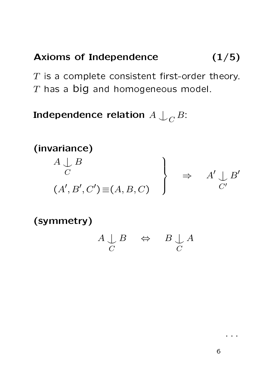## Axioms of Independence  $(1/5)$

 $T$  is a complete consistent first-order theory.  $T$  has a big and homogeneous model.

Independence relation  $A\bigcup_C B$ :

#### (invariance)  $A\downarrow$  $\mathcal{C}$ B  $(A', B', C') \equiv (A, B, C)$  $\mathcal{L}$  $\overline{\mathcal{L}}$  $\int$  $\Rightarrow$  A'  $C'$  $B'$

(symmetry)

$$
\begin{array}{ccc}\nA & \downarrow & B & \Leftrightarrow & B & \downarrow & A \\
C & & & & C\n\end{array}
$$

. . .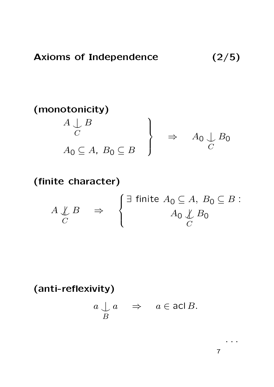(monotonicity)

\n
$$
\left.\begin{array}{c}\nA \perp B \\
C\n\end{array}\right\}\n\Rightarrow\nA_0 \perp B_0
$$
\n
$$
A_0 \subseteq A, B_0 \subseteq B
$$

## (finite character)

$$
A \underset{C}{\downarrow} B \Rightarrow \begin{cases} \exists \text{ finite } A_0 \subseteq A, B_0 \subseteq B: \\ A_0 \underset{C}{\downarrow} B_0 \end{cases}
$$

(anti-reflexivity)

$$
\begin{array}{ccc}\n a & \downarrow a & \Rightarrow & a \in \mathsf{acl}\,B. \\
 B\n \end{array}
$$

7

. . . . .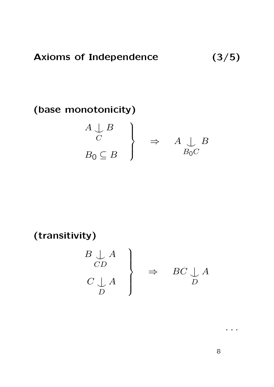(base monotonicity)

$$
\left.\begin{array}{c} A \cup B \\ C \\ B_0 \subseteq B \end{array}\right\} \Rightarrow A \cup_{B_0 C} B
$$

(transitivity)

$$
\begin{array}{c}\nB \downarrow A \\
CD \\
C \downarrow A \\
D\n\end{array}\n\bigg\} \Rightarrow BC \downarrow A
$$

8

. . .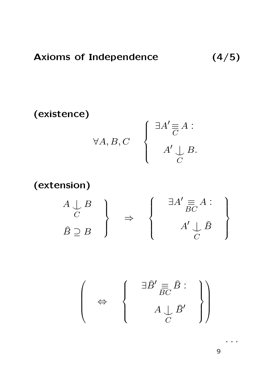$$
\begin{array}{ccc}\n\textbf{(existence)}\\
\forall A, B, C\\
\end{array}\n\qquad\n\left\{\n\begin{array}{c}\n\exists A' \equiv A : \\
A' \downarrow B. \\
C\n\end{array}\n\right.
$$

(extension)

$$
\left.\begin{array}{c} A \downarrow B \\ C \\ \hat{B} \supseteq B \end{array}\right\} \Rightarrow \left\{\begin{array}{c} \exists A' \equiv A : \\ \exists C' \stackrel{A}{BC} A : \\ A' \downarrow \hat{B} \\ C \end{array}\right\}
$$

$$
\left(\begin{array}{c}\n\Rightarrow \\
\Leftrightarrow \\
\end{array}\begin{array}{c}\n\exists \hat{B}' \equiv_{C} \hat{B} : \\
A \downarrow_{C} \hat{B}'\n\end{array}\right)
$$

. . .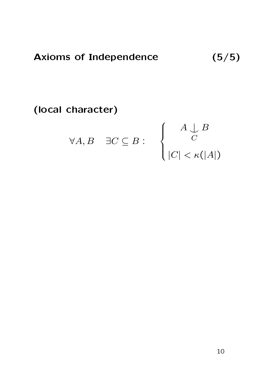(local character)

$$
\forall A, B \quad \exists C \subseteq B : \quad \left\{ \begin{array}{c} A \bigcup_{C} B \\ C \\ |C| < \kappa(|A|) \end{array} \right.
$$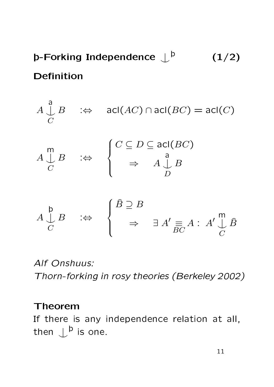þ-Forking Independence  $\mathop{\downarrow}\nolimits^\mathtt{b}$  $(1/2)$ Definition



Alf Onshuus: Thorn-forking in rosy theories (Berkeley 2002)

#### Theorem

If there is any independence relation at all, then  $\mathcal{L}^{\mathsf{b}}$  is one.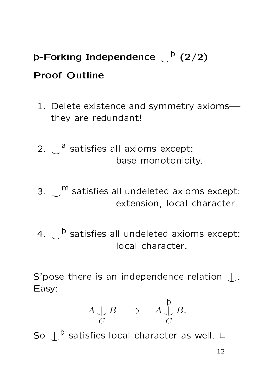# þ-Forking Independence  $\mathop{\downarrow}\nolimits^{\mathsf{b}}$  (2/2)

## Proof Outline

- 1. Delete existence and symmetry axioms they are redundant!
- 2.  $\int_a^b$  satisfies all axioms except: base monotonicity.
- 3.  $\mathcal{L}^{\mathsf{m}}$  satisfies all undeleted axioms except: extension, local character.
- 4.  $\mathcal{L}^{\, \mathsf{b}}$  satisfies all undeleted axioms except: local character.

S'pose there is an independence relation  $\Box$ . Easy:

$$
A \underset{C}{\downarrow} B \quad \Rightarrow \quad A \underset{C}{\overset{\mathfrak{p}}{\downarrow}} B.
$$

So  $\mathcal{L}^{\mathsf{b}}$  satisfies local character as well.  $\Box$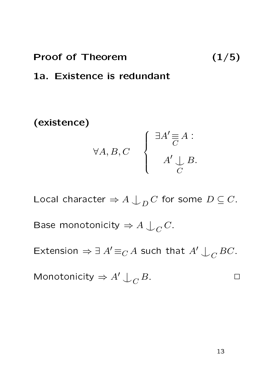#### Proof of Theorem (1/5)

#### 1a. Existence is redundant

(existence)

$$
\forall A, B, C \quad \left\{ \begin{array}{c} \exists A' \equiv A : \\ A' \sqcup_C B. \\ C \end{array} \right.
$$

Local character  $\Rightarrow A\bigcup_D C$  for some  $D\subseteq C.$ 

Base monotonicity  $\Rightarrow A\bigcup_C C$ .

Extension  $\Rightarrow \exists A' \equiv_C A$  such that  $A' \bigcup_C BC$ .

$$
Monotonicity \Rightarrow A' \downarrow_C B.
$$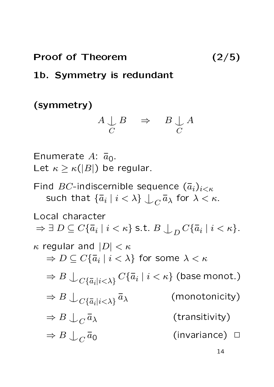#### Proof of Theorem (2/5)

## 1b. Symmetry is redundant

## (symmetry)

$$
\begin{array}{ccc}\nA & \downarrow & B & \Rightarrow & B & \downarrow & A \\
C & & & C & & \n\end{array}
$$

Enumerate  $A: \bar{a}_0$ . Let  $\kappa \geq \kappa(|B|)$  be regular.

Find  $BC$ -indiscernible sequence  $(\bar{a}_i)_{i<\kappa}$ such that  $\{\bar{a}_i\mid i<\lambda\}\downarrow_C \bar{a}_\lambda$  for  $\lambda<\kappa$ .

Local character  $\Rightarrow \exists D \subseteq C\{\overline{a}_i \mid i < \kappa\}$  s.t.  $B \bigcup_D C\{\overline{a}_i \mid i < \kappa\}$ .  $\kappa$  regular and  $|D| < \kappa$  $\Rightarrow D \subseteq C\{\bar{a}_i \mid i < \lambda\}$  for some  $\lambda < \kappa$  $\Rightarrow$   $B\bigcup_{C\{\bar{a}_i|i<\lambda\}}C\{\bar{a}_i\mid i<\kappa\}$  (base monot.)  $\Rightarrow B\bigcup_{C\{\bar{a}_i|i<\lambda\}}$ (monotonicity)  $\Rightarrow B\bigcup_C$ (transitivity)  $\Rightarrow B\bigcup_C$  $(invariance)$   $\square$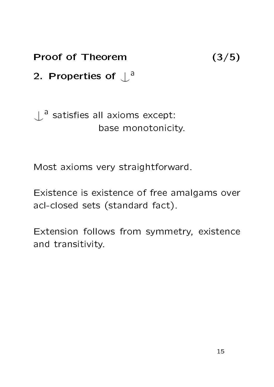Proof of Theorem (3/5)

2. Properties of  $\int^a$ 

 $\bigcup$ <sup>a</sup> satisfies all axioms except: base monotonicity.

Most axioms very straightforward.

Existence is existence of free amalgams over acl-closed sets (standard fact).

Extension follows from symmetry, existence and transitivity.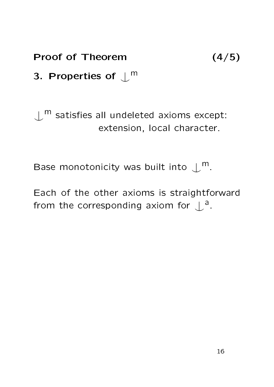Proof of Theorem (4/5)

3. Properties of  $\mathcal{L}^{\mathsf{m}}$ 

 $\mathcal{L}^{\mathsf{m}}$  satisfies all undeleted axioms except: extension, local character.

Base monotonicity was built into  $\mathcal{L}^{\mathsf{m}}$ .

Each of the other axioms is straightforward from the corresponding axiom for  $\int^a$ .